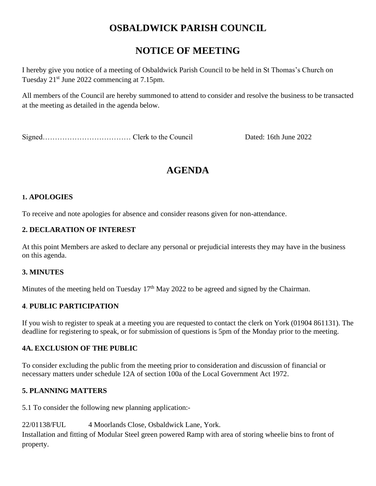# **OSBALDWICK PARISH COUNCIL**

# **NOTICE OF MEETING**

I hereby give you notice of a meeting of Osbaldwick Parish Council to be held in St Thomas's Church on Tuesday 21st June 2022 commencing at 7.15pm.

All members of the Council are hereby summoned to attend to consider and resolve the business to be transacted at the meeting as detailed in the agenda below.

Signed……………………………… Clerk to the Council Dated: 16th June 2022

# **AGENDA**

# **1. APOLOGIES**

To receive and note apologies for absence and consider reasons given for non-attendance.

# **2. DECLARATION OF INTEREST**

At this point Members are asked to declare any personal or prejudicial interests they may have in the business on this agenda.

# **3. MINUTES**

Minutes of the meeting held on Tuesday 17<sup>th</sup> May 2022 to be agreed and signed by the Chairman.

# **4**. **PUBLIC PARTICIPATION**

If you wish to register to speak at a meeting you are requested to contact the clerk on York (01904 861131). The deadline for registering to speak, or for submission of questions is 5pm of the Monday prior to the meeting.

# **4A. EXCLUSION OF THE PUBLIC**

To consider excluding the public from the meeting prior to consideration and discussion of financial or necessary matters under schedule 12A of section 100a of the Local Government Act 1972.

# **5. PLANNING MATTERS**

5.1 To consider the following new planning application:-

22/01138/FUL 4 Moorlands Close, Osbaldwick Lane, York. Installation and fitting of Modular Steel green powered Ramp with area of storing wheelie bins to front of property.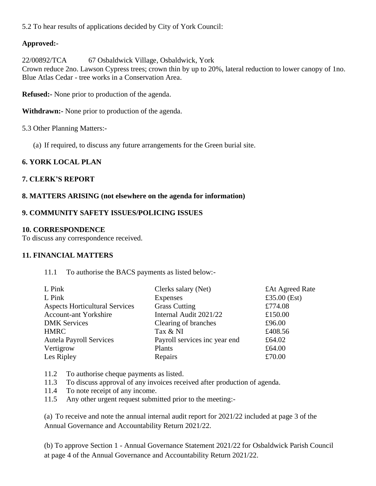5.2 To hear results of applications decided by City of York Council:

## **Approved:-**

22/00892/TCA 67 Osbaldwick Village, Osbaldwick, York Crown reduce 2no. Lawson Cypress trees; crown thin by up to 20%, lateral reduction to lower canopy of 1no. Blue Atlas Cedar - tree works in a Conservation Area.

**Refused:-** None prior to production of the agenda.

**Withdrawn:-** None prior to production of the agenda.

5.3 Other Planning Matters:-

(a) If required, to discuss any future arrangements for the Green burial site.

## **6. YORK LOCAL PLAN**

### **7. CLERK'S REPORT**

#### **8. MATTERS ARISING (not elsewhere on the agenda for information)**

#### **9. COMMUNITY SAFETY ISSUES/POLICING ISSUES**

#### **10. CORRESPONDENCE**

To discuss any correspondence received.

#### **11. FINANCIAL MATTERS**

11.1 To authorise the BACS payments as listed below:-

| L Pink                                | Clerks salary (Net)           | £At Agreed Rate |
|---------------------------------------|-------------------------------|-----------------|
| L Pink                                | Expenses                      | £35.00 $(Est)$  |
| <b>Aspects Horticultural Services</b> | <b>Grass Cutting</b>          | £774.08         |
| <b>Account-ant Yorkshire</b>          | Internal Audit 2021/22        | £150.00         |
| <b>DMK Services</b>                   | Clearing of branches          | £96.00          |
| <b>HMRC</b>                           | Tax & NI                      | £408.56         |
| <b>Autela Payroll Services</b>        | Payroll services inc year end | £64.02          |
| Vertigrow                             | Plants                        | £64.00          |
| Les Ripley                            | Repairs                       | £70.00          |
|                                       |                               |                 |

11.2 To authorise cheque payments as listed.

- 11.3 To discuss approval of any invoices received after production of agenda.
- 11.4 To note receipt of any income.
- 11.5 Any other urgent request submitted prior to the meeting:-

(a) To receive and note the annual internal audit report for 2021/22 included at page 3 of the Annual Governance and Accountability Return 2021/22.

(b) To approve Section 1 - Annual Governance Statement 2021/22 for Osbaldwick Parish Council at page 4 of the Annual Governance and Accountability Return 2021/22.